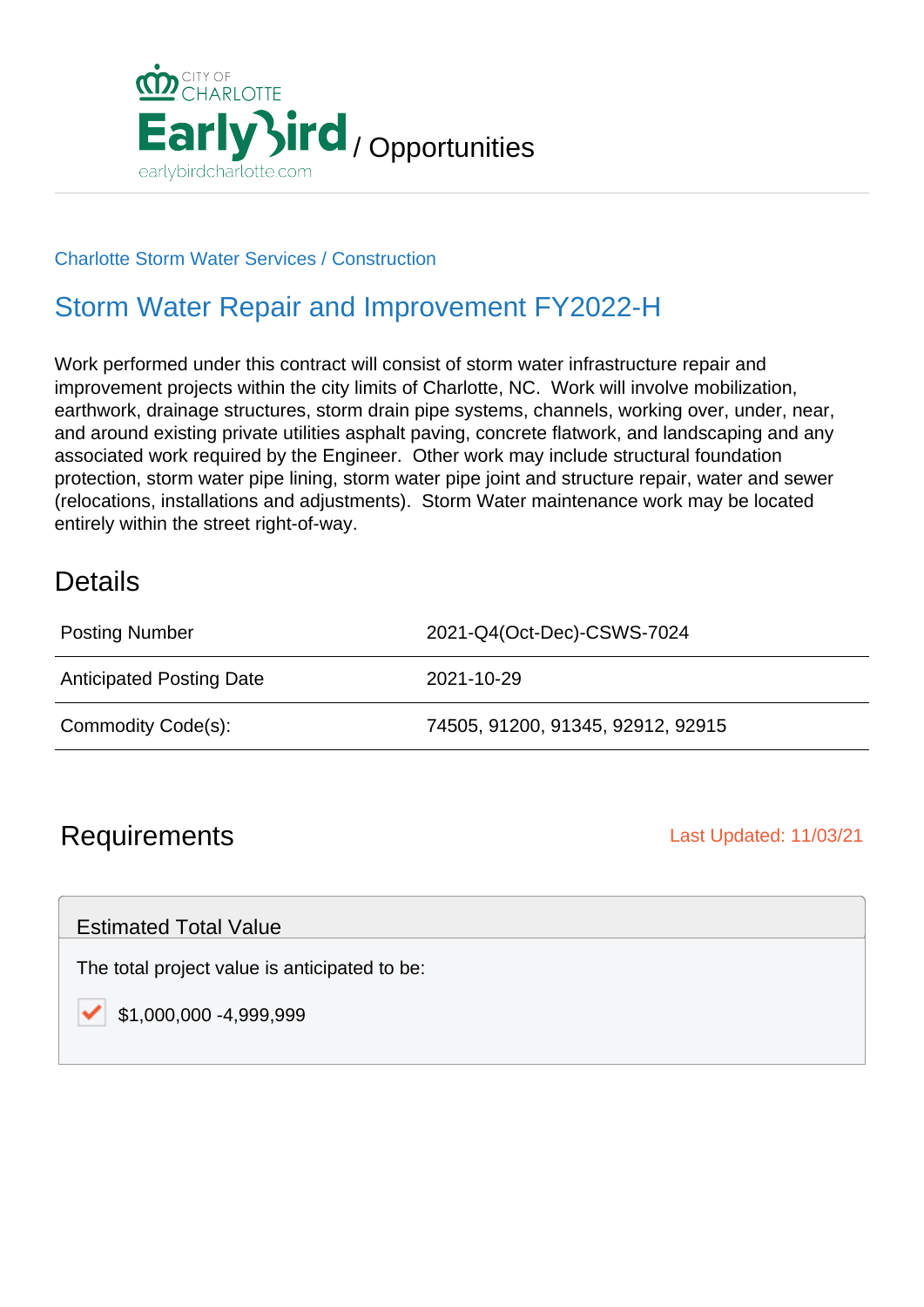

#### Charlotte Storm Water Services / Construction

## Storm Water Repair and Improvement FY2022-H

Work performed under this contract will consist of storm water infrastructure repair and improvement projects within the city limits of Charlotte, NC. Work will involve mobilization, earthwork, drainage structures, storm drain pipe systems, channels, working over, under, near, and around existing private utilities asphalt paving, concrete flatwork, and landscaping and any associated work required by the Engineer. Other work may include structural foundation protection, storm water pipe lining, storm water pipe joint and structure repair, water and sewer (relocations, installations and adjustments). Storm Water maintenance work may be located entirely within the street right-of-way.

### **Details**

| <b>Posting Number</b>           | 2021-Q4(Oct-Dec)-CSWS-7024        |
|---------------------------------|-----------------------------------|
| <b>Anticipated Posting Date</b> | 2021-10-29                        |
| Commodity Code(s):              | 74505, 91200, 91345, 92912, 92915 |

## **Requirements Last Updated: 11/03/21**

Estimated Total Value

The total project value is anticipated to be:

\$1,000,000 -4,999,999